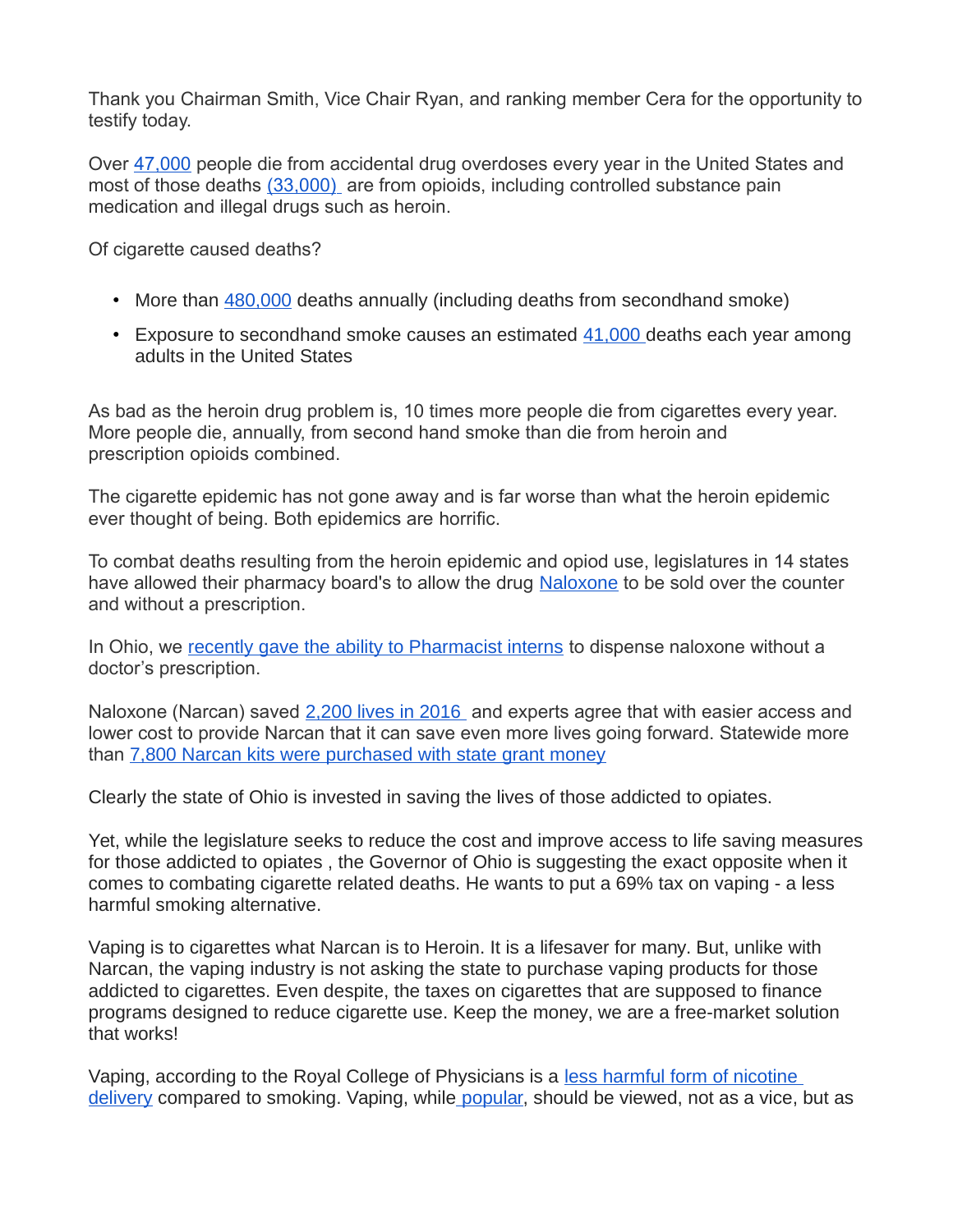Thank you Chairman Smith, Vice Chair Ryan, and ranking member Cera for the opportunity to testify today.

Over [47,000](https://www.cdc.gov/media/releases/2015/p1218-drug-overdose.html) people die from accidental drug overdoses every year in the United States and most of those deaths [\(33,000\)](https://www.cdc.gov/drugoverdose/) are from opioids, including controlled substance pain medication and illegal drugs such as heroin.

Of cigarette caused deaths?

- More than [480,000](https://www.cdc.gov/tobacco/data_statistics/fact_sheets/health_effects/tobacco_related_mortality/) deaths annually (including deaths from secondhand smoke)
- Exposure to secondhand smoke causes an estimated  $41,000$  deaths each year among adults in the United States

As bad as the heroin drug problem is, 10 times more people die from cigarettes every year. More people die, annually, from second hand smoke than die from heroin and prescription opioids combined.

The cigarette epidemic has not gone away and is far worse than what the heroin epidemic ever thought of being. Both epidemics are horrific.

To combat deaths resulting from the heroin epidemic and opiod use, legislatures in 14 states have allowed their pharmacy board's to allow the drug [Naloxone](http://drugfree.org/learn/drug-and-alcohol-news/cvs-will-sell-naloxone-without-prescription-14-states/) to be sold over the counter and without a prescription.

In Ohio, we [recently gave the ability to Pharmacist interns](http://pharmacy.ohio.gov/Pubs/NaloxoneResources.aspx) to dispense naloxone without a doctor's prescription.

Naloxone (Narcan) saved [2,200 lives in 2016](http://www.wkyc.com/news/local/ohio/ohio-narcan-grant-leads-to-2200-lives-saved/280510159) and experts agree that with easier access and lower cost to provide Narcan that it can save even more lives going forward. Statewide more than [7,800 Narcan kits were purchased with state grant money](http://www.wkyc.com/news/local/ohio/ohio-narcan-grant-leads-to-2200-lives-saved/280510159)

Clearly the state of Ohio is invested in saving the lives of those addicted to opiates.

Yet, while the legislature seeks to reduce the cost and improve access to life saving measures for those addicted to opiates , the Governor of Ohio is suggesting the exact opposite when it comes to combating cigarette related deaths. He wants to put a 69% tax on vaping - a less harmful smoking alternative.

Vaping is to cigarettes what Narcan is to Heroin. It is a lifesaver for many. But, unlike with Narcan, the vaping industry is not asking the state to purchase vaping products for those addicted to cigarettes. Even despite, the taxes on cigarettes that are supposed to finance programs designed to reduce cigarette use. Keep the money, we are a free-market solution that works!

Vaping, according to the Royal College of Physicians is a less harmful form of nicotine [delivery](https://www.rcplondon.ac.uk/projects/outputs/nicotine-without-smoke-tobacco-harm-reduction-0) compared to smoking. Vaping, while [popular,](http://www.rcgp.org.uk/clinical-and-research/clinical-news/to-vape-or-not-to-vape-the-rcgp-position-on-ecigarettes.aspx) should be viewed, not as a vice, but as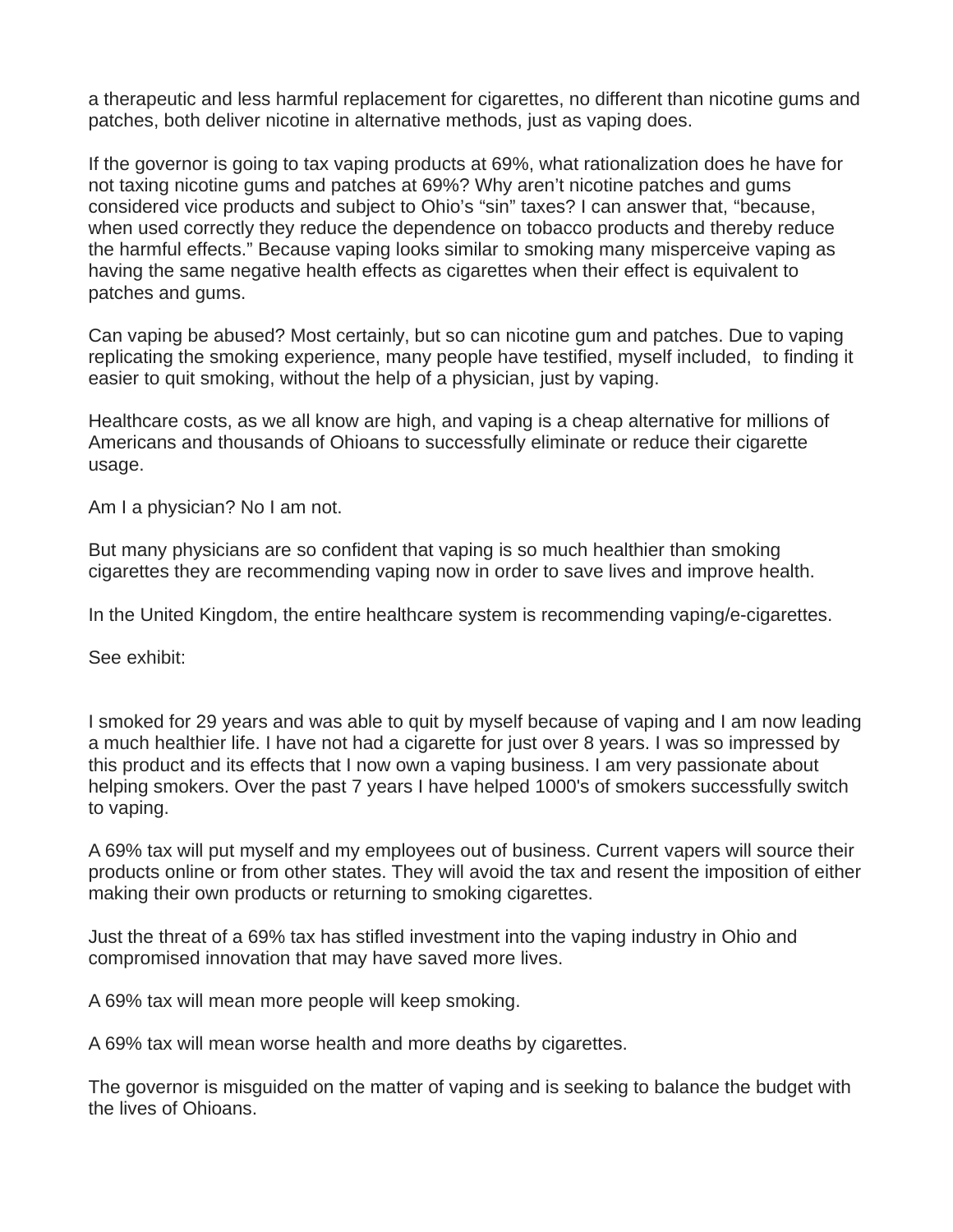a therapeutic and less harmful replacement for cigarettes, no different than nicotine gums and patches, both deliver nicotine in alternative methods, just as vaping does.

If the governor is going to tax vaping products at 69%, what rationalization does he have for not taxing nicotine gums and patches at 69%? Why aren't nicotine patches and gums considered vice products and subject to Ohio's "sin" taxes? I can answer that, "because, when used correctly they reduce the dependence on tobacco products and thereby reduce the harmful effects." Because vaping looks similar to smoking many misperceive vaping as having the same negative health effects as cigarettes when their effect is equivalent to patches and gums.

Can vaping be abused? Most certainly, but so can nicotine gum and patches. Due to vaping replicating the smoking experience, many people have testified, myself included, to finding it easier to quit smoking, without the help of a physician, just by vaping.

Healthcare costs, as we all know are high, and vaping is a cheap alternative for millions of Americans and thousands of Ohioans to successfully eliminate or reduce their cigarette usage.

Am I a physician? No I am not.

But many physicians are so confident that vaping is so much healthier than smoking cigarettes they are recommending vaping now in order to save lives and improve health.

In the United Kingdom, the entire healthcare system is recommending vaping/e-cigarettes.

See exhibit:

I smoked for 29 years and was able to quit by myself because of vaping and I am now leading a much healthier life. I have not had a cigarette for just over 8 years. I was so impressed by this product and its effects that I now own a vaping business. I am very passionate about helping smokers. Over the past 7 years I have helped 1000's of smokers successfully switch to vaping.

A 69% tax will put myself and my employees out of business. Current vapers will source their products online or from other states. They will avoid the tax and resent the imposition of either making their own products or returning to smoking cigarettes.

Just the threat of a 69% tax has stifled investment into the vaping industry in Ohio and compromised innovation that may have saved more lives.

A 69% tax will mean more people will keep smoking.

A 69% tax will mean worse health and more deaths by cigarettes.

The governor is misguided on the matter of vaping and is seeking to balance the budget with the lives of Ohioans.